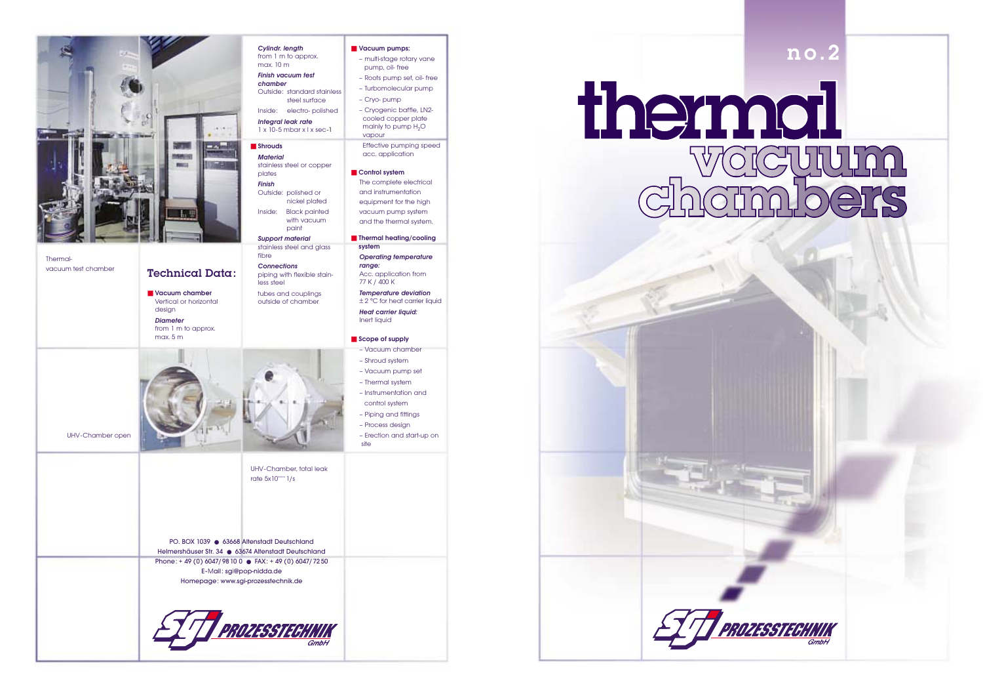# no.2